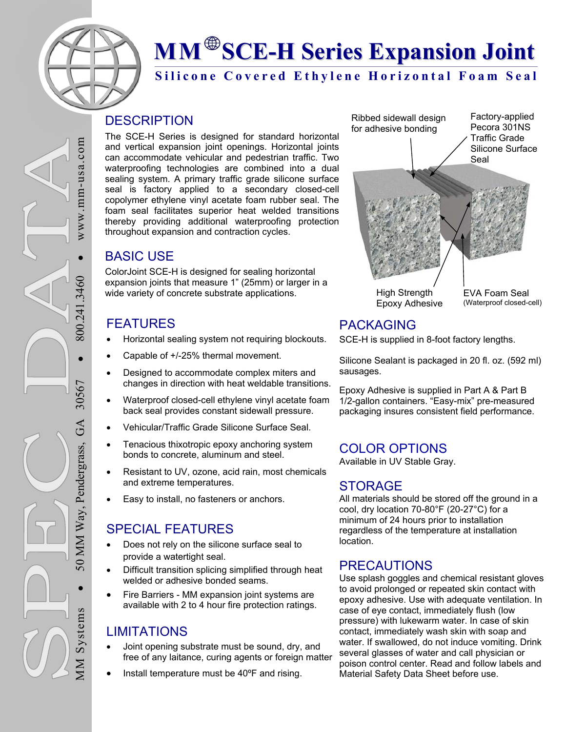

# **MM SCE-H Series Expansion Joint**

## **Silicone Covered Ethylene Horizontal Foam Seal**

### **DESCRIPTION**

The SCE-H Series is designed for standard horizontal and vertical expansion joint openings. Horizontal joints can accommodate vehicular and pedestrian traffic. Two waterproofing technologies are combined into a dual sealing system. A primary traffic grade silicone surface seal is factory applied to a secondary closed-cell copolymer ethylene vinyl acetate foam rubber seal. The foam seal facilitates superior heat welded transitions thereby providing additional waterproofing protection throughout expansion and contraction cycles.

# BASIC USE

ColorJoint SCE-H is designed for sealing horizontal expansion joints that measure 1" (25mm) or larger in a wide variety of concrete substrate applications.

# FEATURES

- Horizontal sealing system not requiring blockouts.
- Capable of +/-25% thermal movement.
- Designed to accommodate complex miters and changes in direction with heat weldable transitions.
- Waterproof closed-cell ethylene vinyl acetate foam back seal provides constant sidewall pressure.
- Vehicular/Traffic Grade Silicone Surface Seal.
- Tenacious thixotropic epoxy anchoring system bonds to concrete, aluminum and steel.
- Resistant to UV, ozone, acid rain, most chemicals and extreme temperatures.
- Easy to install, no fasteners or anchors.

# SPECIAL FEATURES

- Does not rely on the silicone surface seal to provide a watertight seal.
- Difficult transition splicing simplified through heat welded or adhesive bonded seams.
- Fire Barriers MM expansion joint systems are available with 2 to 4 hour fire protection ratings.

# **LIMITATIONS**

MM Systems

**MM Systems** 

50 MM Way, Pendergrass, GA 30567

50 MM Way, Pendergrass,

 $\bullet$  800.241.3460

800.241

30567

GA

.3460

 $\bullet$  WWW.mm-usa.com

 $\bar{8}$ 

 $\bullet$ 

ww.mm-usa.com

- Joint opening substrate must be sound, dry, and free of any laitance, curing agents or foreign matter.
- Install temperature must be 40ºF and rising.

Factory-applied Pecora 301NS Traffic Grade Silicone Surface Seal Ribbed sidewall design for adhesive bonding

High Strength Epoxy Adhesive EVA Foam Seal (Waterproof closed-cell)

# PACKAGING

SCE-H is supplied in 8-foot factory lengths.

Silicone Sealant is packaged in 20 fl. oz. (592 ml) sausages.

Epoxy Adhesive is supplied in Part A & Part B 1/2-gallon containers. "Easy-mix" pre-measured packaging insures consistent field performance.

## COLOR OPTIONS

Available in UV Stable Gray.

#### STORAGE

All materials should be stored off the ground in a cool, dry location 70-80°F (20-27°C) for a minimum of 24 hours prior to installation regardless of the temperature at installation location.

## PRECAUTIONS

Use splash goggles and chemical resistant gloves to avoid prolonged or repeated skin contact with epoxy adhesive. Use with adequate ventilation. In case of eye contact, immediately flush (low pressure) with lukewarm water. In case of skin contact, immediately wash skin with soap and water. If swallowed, do not induce vomiting. Drink several glasses of water and call physician or poison control center. Read and follow labels and Material Safety Data Sheet before use.